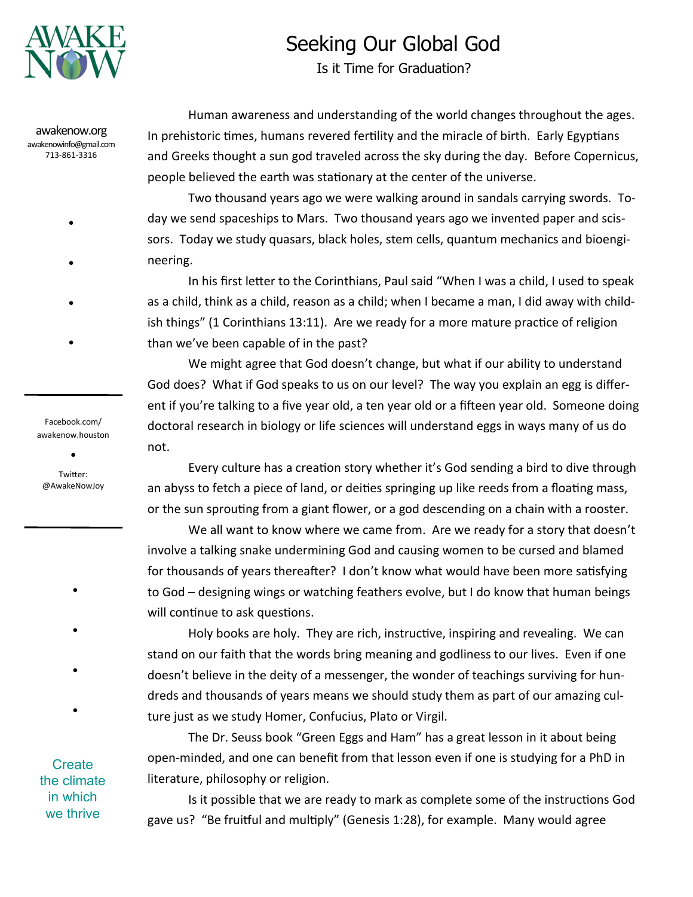

## Seeking Our Global God

Is it Time for Graduation?

awakenow.org awakenowinfo@gmail.com 713-861-3316

●

- ●
- ●

Facebook.com/ awakenow.houston

●

●

Twitter: @AwakeNowJoy

●

●

●

●

Human awareness and understanding of the world changes throughout the ages. In prehistoric times, humans revered fertility and the miracle of birth. Early Egyptians and Greeks thought a sun god traveled across the sky during the day. Before Copernicus, people believed the earth was stationary at the center of the universe.

Two thousand years ago we were walking around in sandals carrying swords. Today we send spaceships to Mars. Two thousand years ago we invented paper and scissors. Today we study quasars, black holes, stem cells, quantum mechanics and bioengineering.

In his first letter to the Corinthians, Paul said "When I was a child, I used to speak as a child, think as a child, reason as a child; when I became a man, I did away with childish things" (1 Corinthians 13:11). Are we ready for a more mature practice of religion than we've been capable of in the past?

We might agree that God doesn't change, but what if our ability to understand God does? What if God speaks to us on our level? The way you explain an egg is different if you're talking to a five year old, a ten year old or a fifteen year old. Someone doing doctoral research in biology or life sciences will understand eggs in ways many of us do not.

Every culture has a creation story whether it's God sending a bird to dive through an abyss to fetch a piece of land, or deities springing up like reeds from a floating mass, or the sun sprouting from a giant flower, or a god descending on a chain with a rooster.

We all want to know where we came from. Are we ready for a story that doesn't involve a talking snake undermining God and causing women to be cursed and blamed for thousands of years thereafter? I don't know what would have been more satisfying to God – designing wings or watching feathers evolve, but I do know that human beings will continue to ask questions.

Holy books are holy. They are rich, instructive, inspiring and revealing. We can stand on our faith that the words bring meaning and godliness to our lives. Even if one doesn't believe in the deity of a messenger, the wonder of teachings surviving for hundreds and thousands of years means we should study them as part of our amazing culture just as we study Homer, Confucius, Plato or Virgil.

The Dr. Seuss book "Green Eggs and Ham" has a great lesson in it about being open-minded, and one can benefit from that lesson even if one is studying for a PhD in literature, philosophy or religion.

Is it possible that we are ready to mark as complete some of the instructions God gave us? "Be fruitful and multiply" (Genesis 1:28), for example. Many would agree

**Create** the climate in which we thrive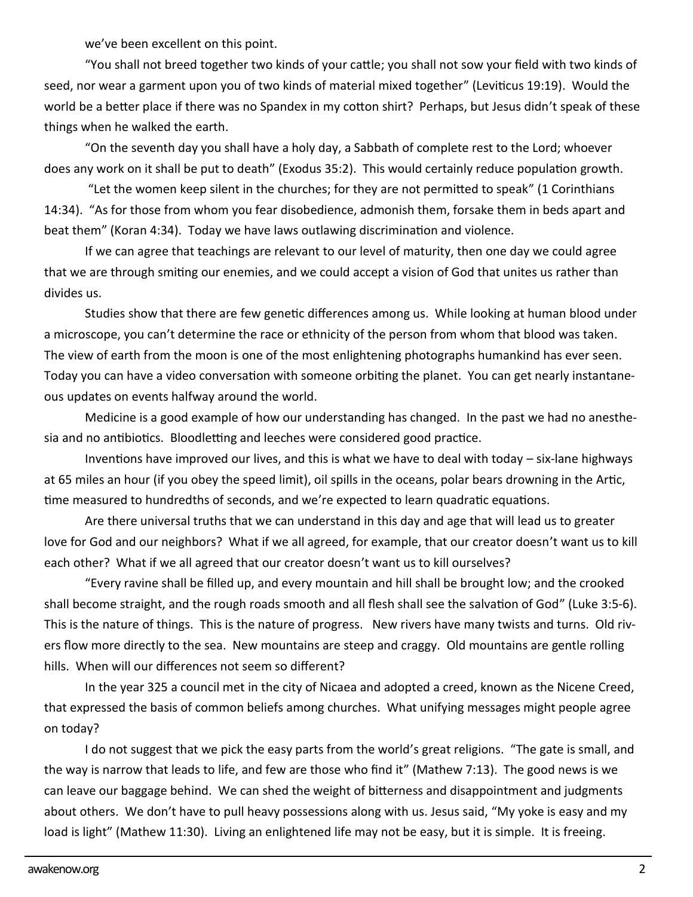we've been excellent on this point.

"You shall not breed together two kinds of your cattle; you shall not sow your field with two kinds of seed, nor wear a garment upon you of two kinds of material mixed together" (Leviticus 19:19). Would the world be a better place if there was no Spandex in my cotton shirt? Perhaps, but Jesus didn't speak of these things when he walked the earth.

"On the seventh day you shall have a holy day, a Sabbath of complete rest to the Lord; whoever does any work on it shall be put to death" (Exodus 35:2). This would certainly reduce population growth.

"Let the women keep silent in the churches; for they are not permitted to speak" (1 Corinthians 14:34). "As for those from whom you fear disobedience, admonish them, forsake them in beds apart and beat them" (Koran 4:34). Today we have laws outlawing discrimination and violence.

If we can agree that teachings are relevant to our level of maturity, then one day we could agree that we are through smiting our enemies, and we could accept a vision of God that unites us rather than divides us.

Studies show that there are few genetic differences among us. While looking at human blood under a microscope, you can't determine the race or ethnicity of the person from whom that blood was taken. The view of earth from the moon is one of the most enlightening photographs humankind has ever seen. Today you can have a video conversation with someone orbiting the planet. You can get nearly instantaneous updates on events halfway around the world.

Medicine is a good example of how our understanding has changed. In the past we had no anesthesia and no antibiotics. Bloodletting and leeches were considered good practice.

Inventions have improved our lives, and this is what we have to deal with today – six-lane highways at 65 miles an hour (if you obey the speed limit), oil spills in the oceans, polar bears drowning in the Artic, time measured to hundredths of seconds, and we're expected to learn quadratic equations.

Are there universal truths that we can understand in this day and age that will lead us to greater love for God and our neighbors? What if we all agreed, for example, that our creator doesn't want us to kill each other? What if we all agreed that our creator doesn't want us to kill ourselves?

"Every ravine shall be filled up, and every mountain and hill shall be brought low; and the crooked shall become straight, and the rough roads smooth and all flesh shall see the salvation of God" (Luke 3:5-6). This is the nature of things. This is the nature of progress. New rivers have many twists and turns. Old rivers flow more directly to the sea. New mountains are steep and craggy. Old mountains are gentle rolling hills. When will our differences not seem so different?

In the year 325 a council met in the city of Nicaea and adopted a creed, known as the Nicene Creed, that expressed the basis of common beliefs among churches. What unifying messages might people agree on today?

I do not suggest that we pick the easy parts from the world's great religions. "The gate is small, and the way is narrow that leads to life, and few are those who find it" (Mathew 7:13). The good news is we can leave our baggage behind. We can shed the weight of bitterness and disappointment and judgments about others. We don't have to pull heavy possessions along with us. Jesus said, "My yoke is easy and my load is light" (Mathew 11:30). Living an enlightened life may not be easy, but it is simple. It is freeing.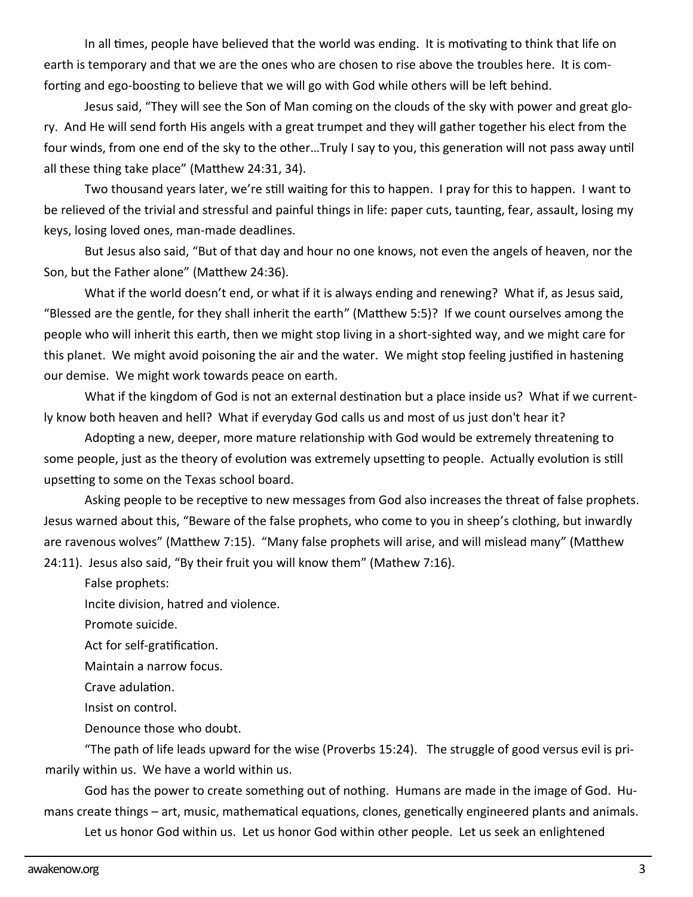In all times, people have believed that the world was ending. It is motivating to think that life on earth is temporary and that we are the ones who are chosen to rise above the troubles here. It is comforting and ego-boosting to believe that we will go with God while others will be left behind.

Jesus said, "They will see the Son of Man coming on the clouds of the sky with power and great glory. And He will send forth His angels with a great trumpet and they will gather together his elect from the four winds, from one end of the sky to the other…Truly I say to you, this generation will not pass away until all these thing take place" (Matthew 24:31, 34).

Two thousand years later, we're still waiting for this to happen. I pray for this to happen. I want to be relieved of the trivial and stressful and painful things in life: paper cuts, taunting, fear, assault, losing my keys, losing loved ones, man-made deadlines.

But Jesus also said, "But of that day and hour no one knows, not even the angels of heaven, nor the Son, but the Father alone" (Matthew 24:36).

What if the world doesn't end, or what if it is always ending and renewing? What if, as Jesus said, "Blessed are the gentle, for they shall inherit the earth" (Matthew 5:5)? If we count ourselves among the people who will inherit this earth, then we might stop living in a short-sighted way, and we might care for this planet. We might avoid poisoning the air and the water. We might stop feeling justified in hastening our demise. We might work towards peace on earth.

What if the kingdom of God is not an external destination but a place inside us? What if we currently know both heaven and hell? What if everyday God calls us and most of us just don't hear it?

Adopting a new, deeper, more mature relationship with God would be extremely threatening to some people, just as the theory of evolution was extremely upsetting to people. Actually evolution is still upsetting to some on the Texas school board.

Asking people to be receptive to new messages from God also increases the threat of false prophets. Jesus warned about this, "Beware of the false prophets, who come to you in sheep's clothing, but inwardly are ravenous wolves" (Matthew 7:15). "Many false prophets will arise, and will mislead many" (Matthew 24:11). Jesus also said, "By their fruit you will know them" (Mathew 7:16).

False prophets:

Incite division, hatred and violence.

Promote suicide.

Act for self-gratification.

Maintain a narrow focus.

Crave adulation.

Insist on control.

Denounce those who doubt.

"The path of life leads upward for the wise (Proverbs 15:24). The struggle of good versus evil is primarily within us. We have a world within us.

God has the power to create something out of nothing. Humans are made in the image of God. Humans create things – art, music, mathematical equations, clones, genetically engineered plants and animals.

Let us honor God within us. Let us honor God within other people. Let us seek an enlightened